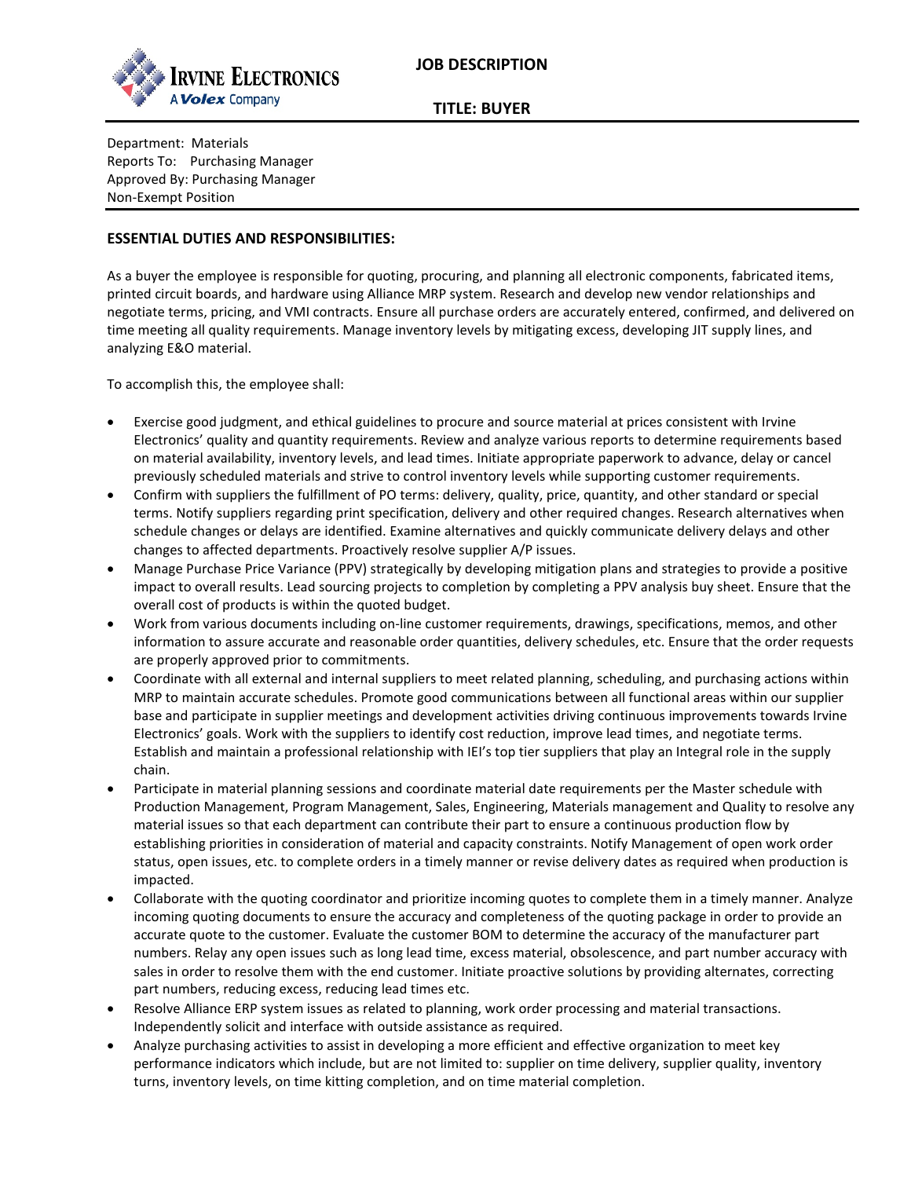

**TITLE: BUYER**

Department: Materials Reports To: Purchasing Manager Approved By: Purchasing Manager Non-Exempt Position

## **ESSENTIAL DUTIES AND RESPONSIBILITIES:**

As a buyer the employee is responsible for quoting, procuring, and planning all electronic components, fabricated items, printed circuit boards, and hardware using Alliance MRP system. Research and develop new vendor relationships and negotiate terms, pricing, and VMI contracts. Ensure all purchase orders are accurately entered, confirmed, and delivered on time meeting all quality requirements. Manage inventory levels by mitigating excess, developing JIT supply lines, and analyzing E&O material.

To accomplish this, the employee shall:

- Exercise good judgment, and ethical guidelines to procure and source material at prices consistent with Irvine Electronics' quality and quantity requirements. Review and analyze various reports to determine requirements based on material availability, inventory levels, and lead times. Initiate appropriate paperwork to advance, delay or cancel previously scheduled materials and strive to control inventory levels while supporting customer requirements.
- Confirm with suppliers the fulfillment of PO terms: delivery, quality, price, quantity, and other standard or special terms. Notify suppliers regarding print specification, delivery and other required changes. Research alternatives when schedule changes or delays are identified. Examine alternatives and quickly communicate delivery delays and other changes to affected departments. Proactively resolve supplier A/P issues.
- Manage Purchase Price Variance (PPV) strategically by developing mitigation plans and strategies to provide a positive impact to overall results. Lead sourcing projects to completion by completing a PPV analysis buy sheet. Ensure that the overall cost of products is within the quoted budget.
- Work from various documents including on-line customer requirements, drawings, specifications, memos, and other information to assure accurate and reasonable order quantities, delivery schedules, etc. Ensure that the order requests are properly approved prior to commitments.
- Coordinate with all external and internal suppliers to meet related planning, scheduling, and purchasing actions within MRP to maintain accurate schedules. Promote good communications between all functional areas within our supplier base and participate in supplier meetings and development activities driving continuous improvements towards Irvine Electronics' goals. Work with the suppliers to identify cost reduction, improve lead times, and negotiate terms. Establish and maintain a professional relationship with IEI's top tier suppliers that play an Integral role in the supply chain.
- Participate in material planning sessions and coordinate material date requirements per the Master schedule with Production Management, Program Management, Sales, Engineering, Materials management and Quality to resolve any material issues so that each department can contribute their part to ensure a continuous production flow by establishing priorities in consideration of material and capacity constraints. Notify Management of open work order status, open issues, etc. to complete orders in a timely manner or revise delivery dates as required when production is impacted.
- Collaborate with the quoting coordinator and prioritize incoming quotes to complete them in a timely manner. Analyze incoming quoting documents to ensure the accuracy and completeness of the quoting package in order to provide an accurate quote to the customer. Evaluate the customer BOM to determine the accuracy of the manufacturer part numbers. Relay any open issues such as long lead time, excess material, obsolescence, and part number accuracy with sales in order to resolve them with the end customer. Initiate proactive solutions by providing alternates, correcting part numbers, reducing excess, reducing lead times etc.
- Resolve Alliance ERP system issues as related to planning, work order processing and material transactions. Independently solicit and interface with outside assistance as required.
- Analyze purchasing activities to assist in developing a more efficient and effective organization to meet key performance indicators which include, but are not limited to: supplier on time delivery, supplier quality, inventory turns, inventory levels, on time kitting completion, and on time material completion.